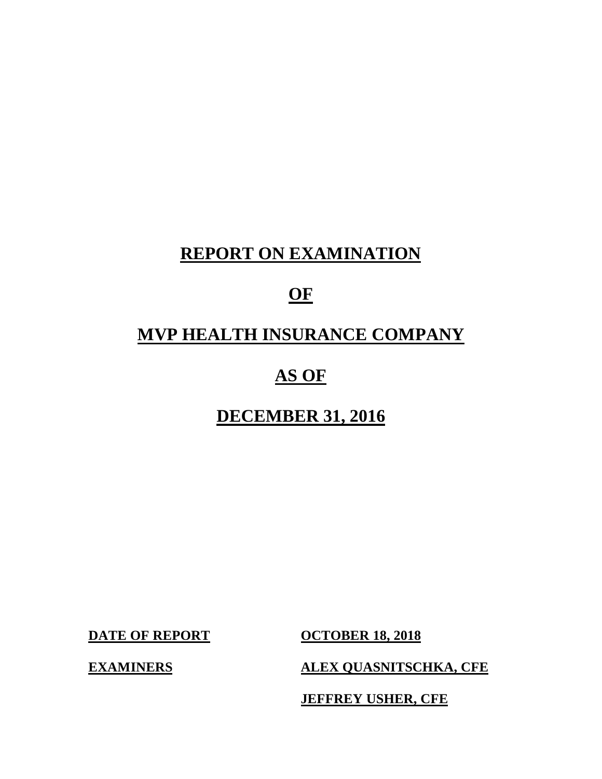# **REPORT ON EXAMINATION**

# **OF**

# **MVP HEALTH INSURANCE COMPANY**

# **AS OF**

# **DECEMBER 31, 2016 DECEMBER 31, 2016<br>DATE OF REPORT OCTOBER 18, 2018**

**DATE OF REPORT** 

**ALEX QUASNITSCHKA, CFE** 

**JEFFREY USHER, CFE** 

**EXAMINERS**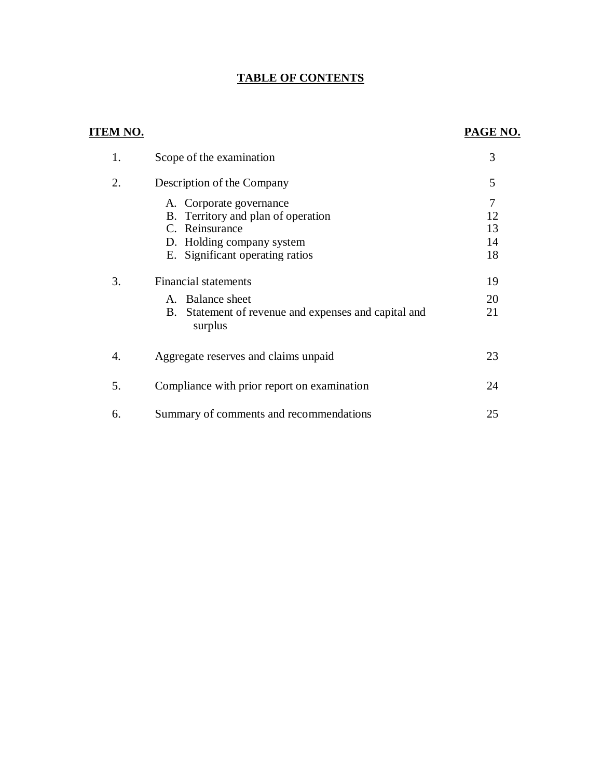#### **TABLE OF CONTENTS**

### **ITEM NO. PAGE NO.**

| 1. | Scope of the examination                                                                                                                        | 3                    |
|----|-------------------------------------------------------------------------------------------------------------------------------------------------|----------------------|
| 2. | Description of the Company                                                                                                                      | 5                    |
|    | A. Corporate governance<br>B. Territory and plan of operation<br>C. Reinsurance<br>D. Holding company system<br>E. Significant operating ratios | 12<br>13<br>14<br>18 |
| 3. | <b>Financial statements</b><br>A. Balance sheet<br>Statement of revenue and expenses and capital and<br>B.<br>surplus                           | 19<br>20<br>21       |
| 4. | Aggregate reserves and claims unpaid                                                                                                            | 23                   |
| 5. | Compliance with prior report on examination                                                                                                     | 24                   |
| 6. | Summary of comments and recommendations                                                                                                         | 25                   |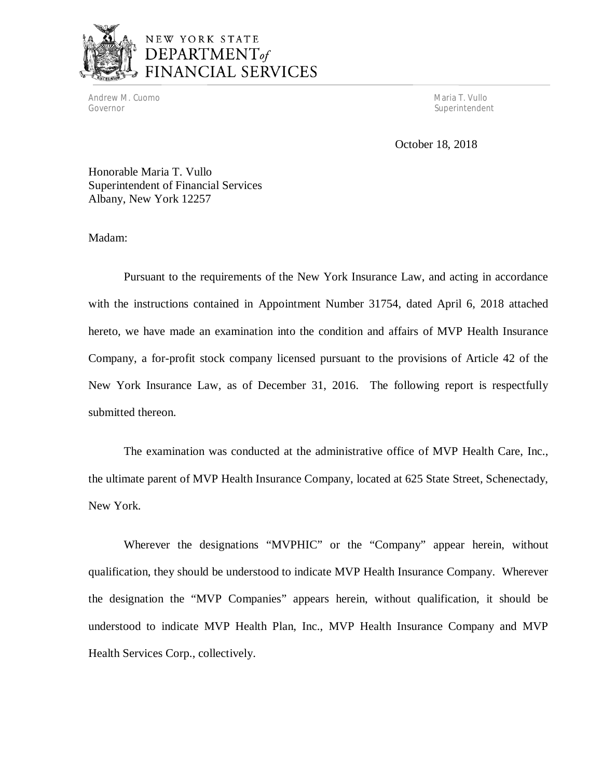

Andrew M. Cuomo Maria T. Vullo (1999) and the control of the control of the control of the control of the control of the control of the control of the control of the control of the control of the control of the control of Governor

Superintendent

October 18, 2018

 Honorable Maria T. Vullo Superintendent of Financial Services Albany, New York 12257

Madam:

 Pursuant to the requirements of the New York Insurance Law, and acting in accordance with the instructions contained in Appointment Number 31754, dated April 6, 2018 attached hereto, we have made an examination into the condition and affairs of MVP Health Insurance Company, a for-profit stock company licensed pursuant to the provisions of Article 42 of the New York Insurance Law, as of December 31, 2016. The following report is respectfully submitted thereon.

 The examination was conducted at the administrative office of MVP Health Care, Inc., the ultimate parent of MVP Health Insurance Company, located at 625 State Street, Schenectady, New York.

 Wherever the designations "MVPHIC" or the "Company" appear herein, without qualification, they should be understood to indicate MVP Health Insurance Company. Wherever the designation the "MVP Companies" appears herein, without qualification, it should be understood to indicate MVP Health Plan, Inc., MVP Health Insurance Company and MVP Health Services Corp., collectively.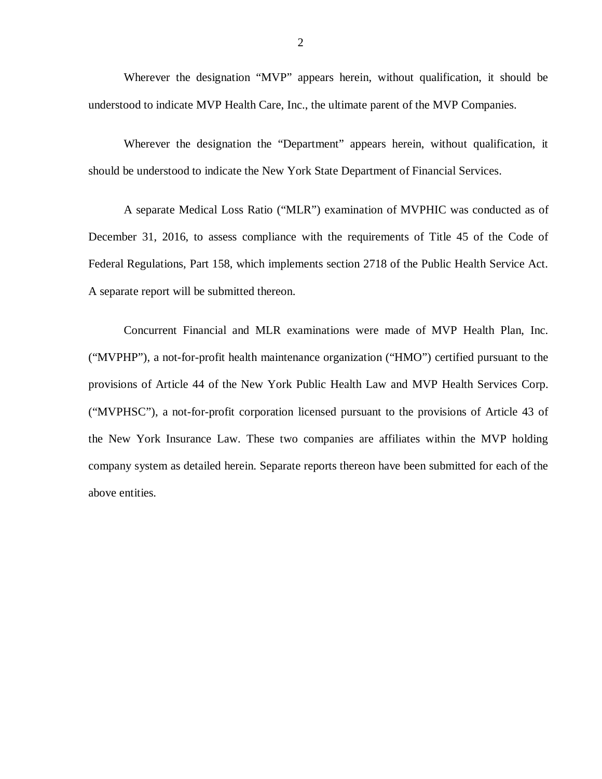Wherever the designation "MVP" appears herein, without qualification, it should be understood to indicate MVP Health Care, Inc., the ultimate parent of the MVP Companies.

 Wherever the designation the "Department" appears herein, without qualification, it should be understood to indicate the New York State Department of Financial Services.

 A separate Medical Loss Ratio ("MLR") examination of MVPHIC was conducted as of December 31, 2016, to assess compliance with the requirements of Title 45 of the Code of Federal Regulations, Part 158, which implements section 2718 of the Public Health Service Act. A separate report will be submitted thereon.

 Concurrent Financial and MLR examinations were made of MVP Health Plan, Inc. ("MVPHP"), a not-for-profit health maintenance organization ("HMO") certified pursuant to the provisions of Article 44 of the New York Public Health Law and MVP Health Services Corp. ("MVPHSC"), a not-for-profit corporation licensed pursuant to the provisions of Article 43 of the New York Insurance Law. These two companies are affiliates within the MVP holding company system as detailed herein. Separate reports thereon have been submitted for each of the above entities.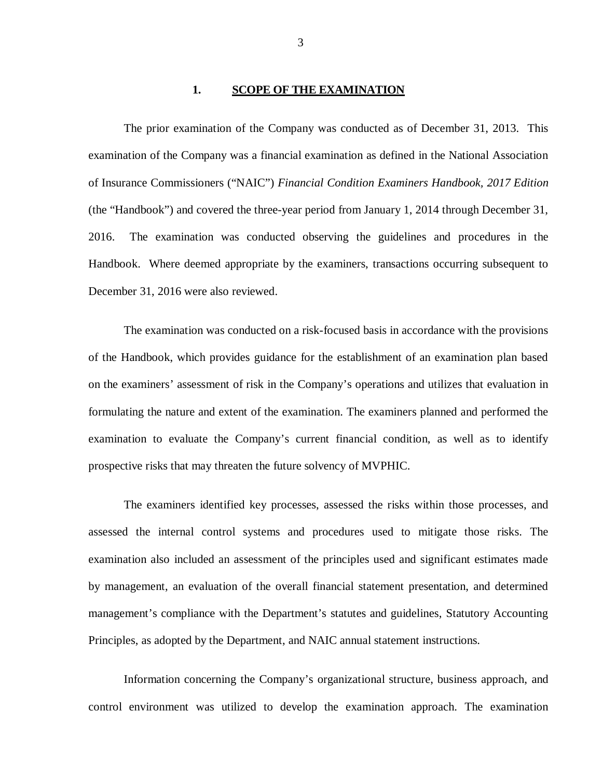#### **1. SCOPE OF THE EXAMINATION**

 examination of the Company was a financial examination as defined in the National Association of Insurance Commissioners ("NAIC") *Financial Condition Examiners Handbook, 2017 Edition*  (the "Handbook") and covered the three-year period from January 1, 2014 through December 31, 2016. Handbook. Where deemed appropriate by the examiners, transactions occurring subsequent to December 31, 2016 were also reviewed. The prior examination of the Company was conducted as of December 31, 2013. This The examination was conducted observing the guidelines and procedures in the

 of the Handbook, which provides guidance for the establishment of an examination plan based on the examiners' assessment of risk in the Company's operations and utilizes that evaluation in formulating the nature and extent of the examination. The examiners planned and performed the examination to evaluate the Company's current financial condition, as well as to identify prospective risks that may threaten the future solvency of MVPHIC. The examination was conducted on a risk-focused basis in accordance with the provisions

 assessed the internal control systems and procedures used to mitigate those risks. The examination also included an assessment of the principles used and significant estimates made by management, an evaluation of the overall financial statement presentation, and determined management's compliance with the Department's statutes and guidelines, Statutory Accounting Principles, as adopted by the Department, and NAIC annual statement instructions. The examiners identified key processes, assessed the risks within those processes, and

 Information concerning the Company's organizational structure, business approach, and control environment was utilized to develop the examination approach. The examination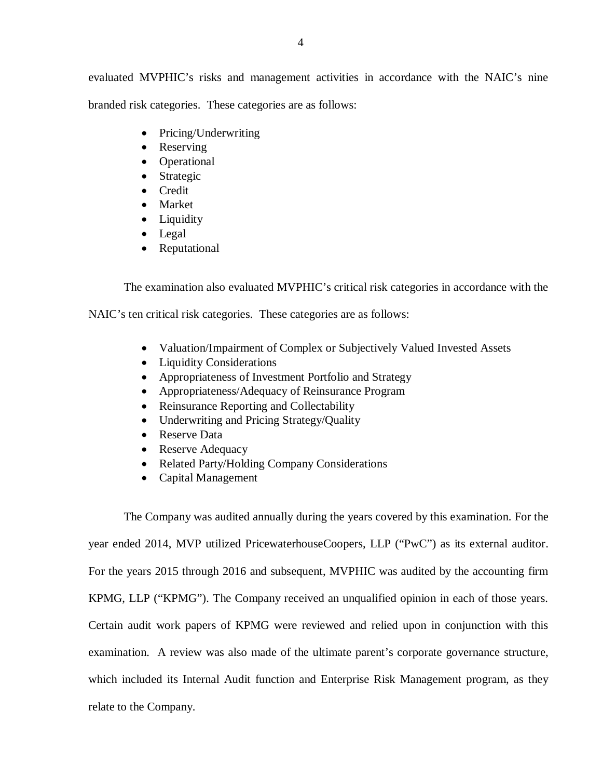evaluated MVPHIC's risks and management activities in accordance with the NAIC's nine branded risk categories. These categories are as follows:

- Pricing/Underwriting
- Reserving
- Operational
- Strategic
- Credit
- Market
- Liquidity
- Legal
- Reputational

The examination also evaluated MVPHIC's critical risk categories in accordance with the

NAIC's ten critical risk categories. These categories are as follows:

- Valuation/Impairment of Complex or Subjectively Valued Invested Assets
- Liquidity Considerations
- Appropriateness of Investment Portfolio and Strategy
- Appropriateness/Adequacy of Reinsurance Program
- Reinsurance Reporting and Collectability
- Underwriting and Pricing Strategy/Quality
- Reserve Data
- Reserve Adequacy
- Related Party/Holding Company Considerations
- Capital Management

 The Company was audited annually during the years covered by this examination. For the year ended 2014, MVP utilized PricewaterhouseCoopers, LLP ("PwC") as its external auditor. For the years 2015 through 2016 and subsequent, MVPHIC was audited by the accounting firm KPMG, LLP ("KPMG"). The Company received an unqualified opinion in each of those years. Certain audit work papers of KPMG were reviewed and relied upon in conjunction with this examination. A review was also made of the ultimate parent's corporate governance structure, which included its Internal Audit function and Enterprise Risk Management program, as they relate to the Company.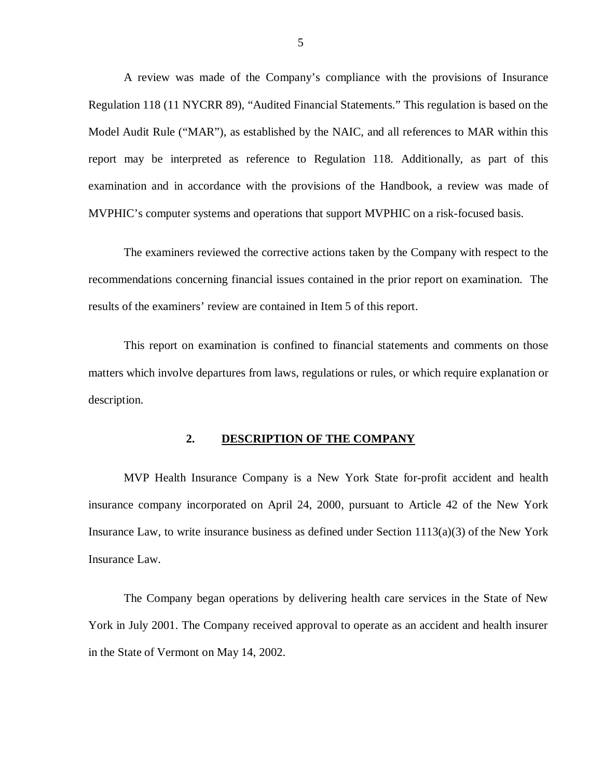A review was made of the Company's compliance with the provisions of Insurance Regulation 118 (11 NYCRR 89), "Audited Financial Statements." This regulation is based on the Model Audit Rule ("MAR"), as established by the NAIC, and all references to MAR within this report may be interpreted as reference to Regulation 118. Additionally, as part of this examination and in accordance with the provisions of the Handbook, a review was made of MVPHIC's computer systems and operations that support MVPHIC on a risk-focused basis.

 The examiners reviewed the corrective actions taken by the Company with respect to the recommendations concerning financial issues contained in the prior report on examination. The results of the examiners' review are contained in Item 5 of this report.

 This report on examination is confined to financial statements and comments on those matters which involve departures from laws, regulations or rules, or which require explanation or description.

#### **2. DESCRIPTION OF THE COMPANY**

 MVP Health Insurance Company is a New York State for-profit accident and health insurance company incorporated on April 24, 2000, pursuant to Article 42 of the New York Insurance Law, to write insurance business as defined under Section 1113(a)(3) of the New York Insurance Law.

 The Company began operations by delivering health care services in the State of New York in July 2001. The Company received approval to operate as an accident and health insurer in the State of Vermont on May 14, 2002.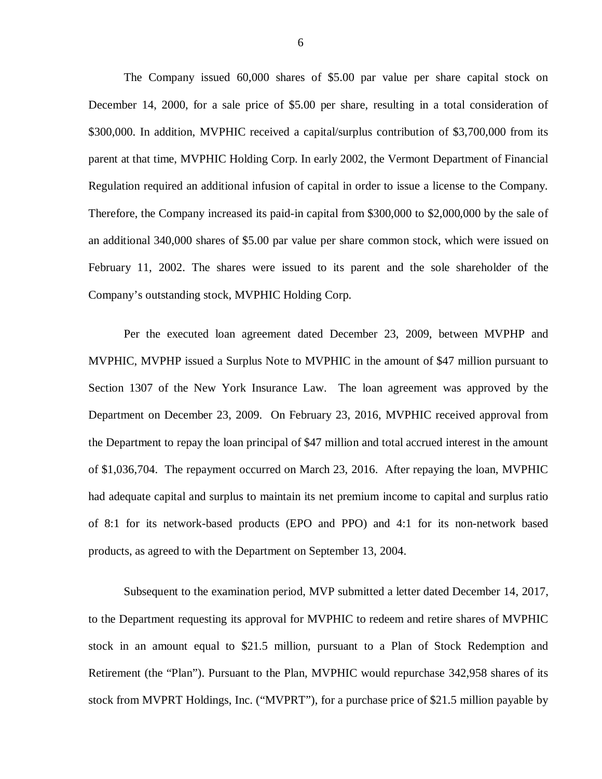The Company issued 60,000 shares of \$5.00 par value per share capital stock on December 14, 2000, for a sale price of \$5.00 per share, resulting in a total consideration of \$300,000. In addition, MVPHIC received a capital/surplus contribution of \$3,700,000 from its parent at that time, MVPHIC Holding Corp. In early 2002, the Vermont Department of Financial Regulation required an additional infusion of capital in order to issue a license to the Company. Therefore, the Company increased its paid-in capital from \$300,000 to \$2,000,000 by the sale of an additional 340,000 shares of \$5.00 par value per share common stock, which were issued on February 11, 2002. The shares were issued to its parent and the sole shareholder of the Company's outstanding stock, MVPHIC Holding Corp.

 Per the executed loan agreement dated December 23, 2009, between MVPHP and MVPHIC, MVPHP issued a Surplus Note to MVPHIC in the amount of \$47 million pursuant to Section 1307 of the New York Insurance Law. The loan agreement was approved by the Department on December 23, 2009. On February 23, 2016, MVPHIC received approval from the Department to repay the loan principal of \$47 million and total accrued interest in the amount of \$1,036,704. The repayment occurred on March 23, 2016. After repaying the loan, MVPHIC had adequate capital and surplus to maintain its net premium income to capital and surplus ratio of 8:1 for its network-based products (EPO and PPO) and 4:1 for its non-network based products, as agreed to with the Department on September 13, 2004.

 Subsequent to the examination period, MVP submitted a letter dated December 14, 2017, to the Department requesting its approval for MVPHIC to redeem and retire shares of MVPHIC stock in an amount equal to \$21.5 million, pursuant to a Plan of Stock Redemption and Retirement (the "Plan"). Pursuant to the Plan, MVPHIC would repurchase 342,958 shares of its stock from MVPRT Holdings, Inc. ("MVPRT"), for a purchase price of \$21.5 million payable by

6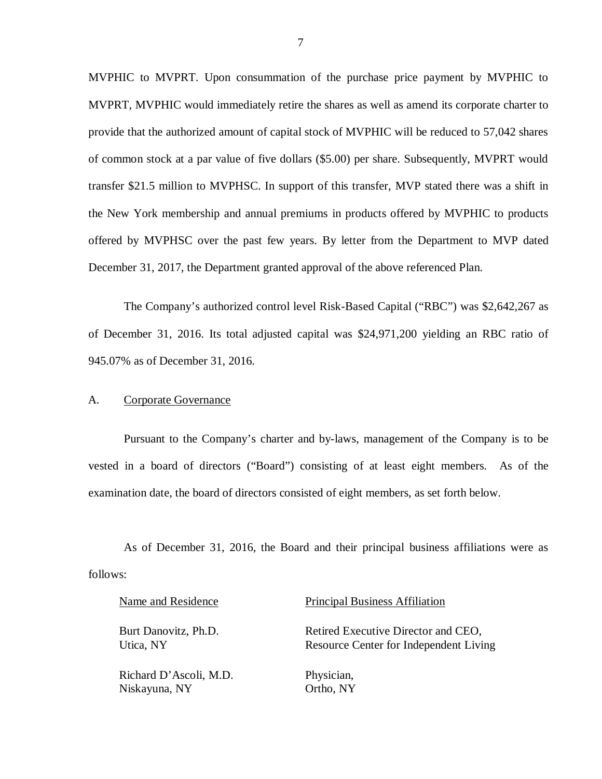MVPHIC to MVPRT. Upon consummation of the purchase price payment by MVPHIC to MVPRT, MVPHIC would immediately retire the shares as well as amend its corporate charter to provide that the authorized amount of capital stock of MVPHIC will be reduced to 57,042 shares of common stock at a par value of five dollars (\$5.00) per share. Subsequently, MVPRT would transfer \$21.5 million to MVPHSC. In support of this transfer, MVP stated there was a shift in the New York membership and annual premiums in products offered by MVPHIC to products offered by MVPHSC over the past few years. By letter from the Department to MVP dated December 31, 2017, the Department granted approval of the above referenced Plan.

 The Company's authorized control level Risk-Based Capital ("RBC") was \$2,642,267 as of December 31, 2016. Its total adjusted capital was \$24,971,200 yielding an RBC ratio of 945.07% as of December 31, 2016.

#### A. Corporate Governance

 Pursuant to the Company's charter and by-laws, management of the Company is to be vested in a board of directors ("Board") consisting of at least eight members. As of the examination date, the board of directors consisted of eight members, as set forth below.

 As of December 31, 2016, the Board and their principal business affiliations were as follows:

| Name and Residence     | <b>Principal Business Affiliation</b>  |
|------------------------|----------------------------------------|
| Burt Danovitz, Ph.D.   | Retired Executive Director and CEO,    |
| Utica, NY              | Resource Center for Independent Living |
| Richard D'Ascoli, M.D. | Physician,                             |
| Niskayuna, NY          | Ortho, NY                              |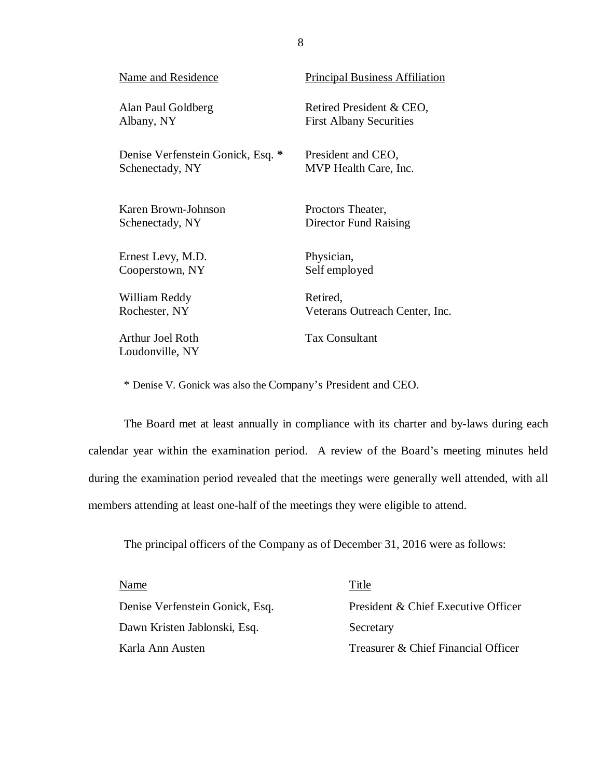| <b>Name and Residence</b>           | <b>Principal Business Affiliation</b> |
|-------------------------------------|---------------------------------------|
| Alan Paul Goldberg                  | Retired President & CEO,              |
| Albany, NY                          | <b>First Albany Securities</b>        |
| Denise Verfenstein Gonick, Esq. *   | President and CEO,                    |
| Schenectady, NY                     | MVP Health Care, Inc.                 |
| Karen Brown-Johnson                 | Proctors Theater,                     |
| Schenectady, NY                     | Director Fund Raising                 |
| Ernest Levy, M.D.                   | Physician,                            |
| Cooperstown, NY                     | Self employed                         |
| William Reddy                       | Retired,                              |
| Rochester, NY                       | Veterans Outreach Center, Inc.        |
| Arthur Joel Roth<br>Loudonville, NY | <b>Tax Consultant</b>                 |

\* Denise V. Gonick was also the Company's President and CEO.

 The Board met at least annually in compliance with its charter and by-laws during each calendar year within the examination period. A review of the Board's meeting minutes held during the examination period revealed that the meetings were generally well attended, with all members attending at least one-half of the meetings they were eligible to attend.

The principal officers of the Company as of December 31, 2016 were as follows:

| Name                            | Title                               |
|---------------------------------|-------------------------------------|
| Denise Verfenstein Gonick, Esq. | President & Chief Executive Officer |
| Dawn Kristen Jablonski, Esq.    | Secretary                           |
| Karla Ann Austen                | Treasurer & Chief Financial Officer |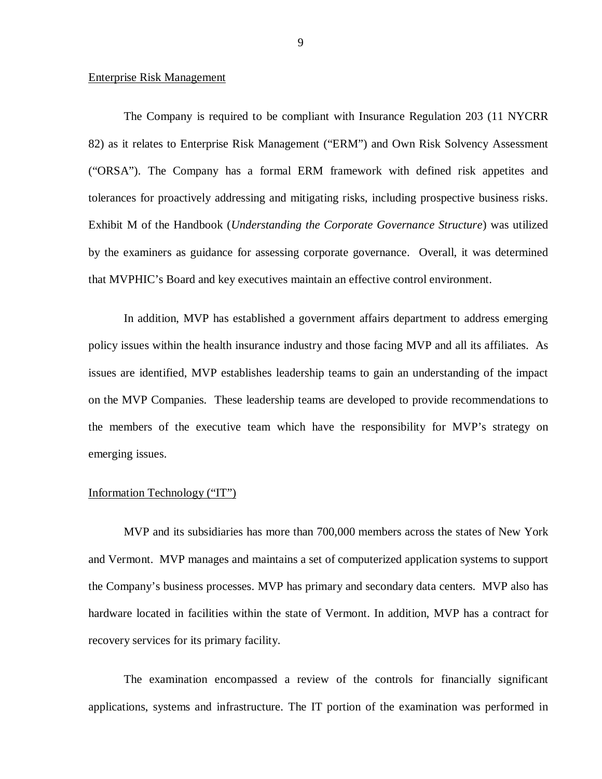#### **Enterprise Risk Management**

 82) as it relates to Enterprise Risk Management ("ERM") and Own Risk Solvency Assessment ("ORSA"). The Company has a formal ERM framework with defined risk appetites and tolerances for proactively addressing and mitigating risks, including prospective business risks. Exhibit M of the Handbook (*Understanding the Corporate Governance Structure*) was utilized by the examiners as guidance for assessing corporate governance. Overall, it was determined that MVPHIC's Board and key executives maintain an effective control environment. The Company is required to be compliant with Insurance Regulation 203 (11 NYCRR)

 policy issues within the health insurance industry and those facing MVP and all its affiliates. As issues are identified, MVP establishes leadership teams to gain an understanding of the impact on the MVP Companies. These leadership teams are developed to provide recommendations to the members of the executive team which have the responsibility for MVP's strategy on In addition, MVP has established a government affairs department to address emerging emerging issues.

#### Information Technology ("IT")

 MVP and its subsidiaries has more than 700,000 members across the states of New York and Vermont. MVP manages and maintains a set of computerized application systems to support the Company's business processes. MVP has primary and secondary data centers. MVP also has hardware located in facilities within the state of Vermont. In addition, MVP has a contract for recovery services for its primary facility.

 The examination encompassed a review of the controls for financially significant applications, systems and infrastructure. The IT portion of the examination was performed in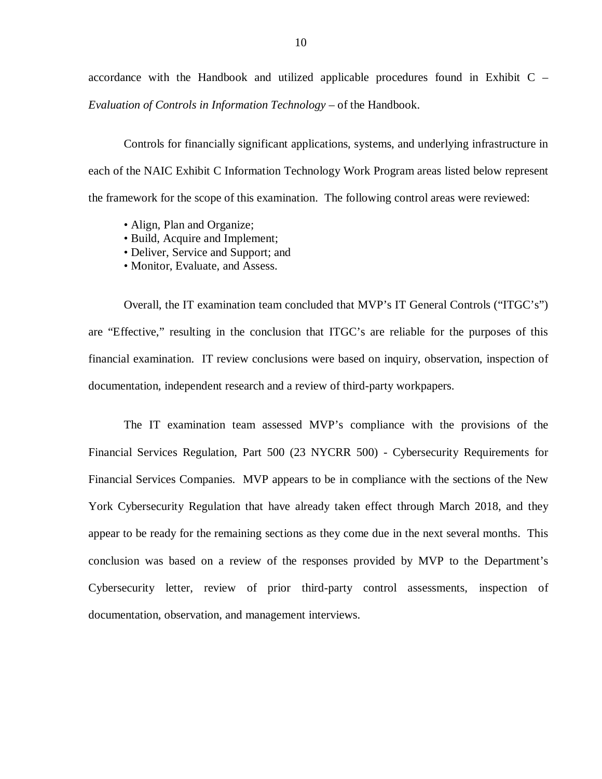accordance with the Handbook and utilized applicable procedures found in Exhibit C –  *Evaluation of Controls in Information Technology* – of the Handbook.

 Controls for financially significant applications, systems, and underlying infrastructure in each of the NAIC Exhibit C Information Technology Work Program areas listed below represent the framework for the scope of this examination. The following control areas were reviewed:

- Align, Plan and Organize;
- Build, Acquire and Implement;
- Deliver, Service and Support; and
- Monitor, Evaluate, and Assess.

 Overall, the IT examination team concluded that MVP's IT General Controls ("ITGC's") are "Effective," resulting in the conclusion that ITGC's are reliable for the purposes of this financial examination. IT review conclusions were based on inquiry, observation, inspection of documentation, independent research and a review of third-party workpapers.

 The IT examination team assessed MVP's compliance with the provisions of the Financial Services Regulation, Part 500 (23 NYCRR 500) - Cybersecurity Requirements for Financial Services Companies. MVP appears to be in compliance with the sections of the New York Cybersecurity Regulation that have already taken effect through March 2018, and they appear to be ready for the remaining sections as they come due in the next several months. This conclusion was based on a review of the responses provided by MVP to the Department's Cybersecurity letter, review of prior third-party control assessments, inspection of documentation, observation, and management interviews.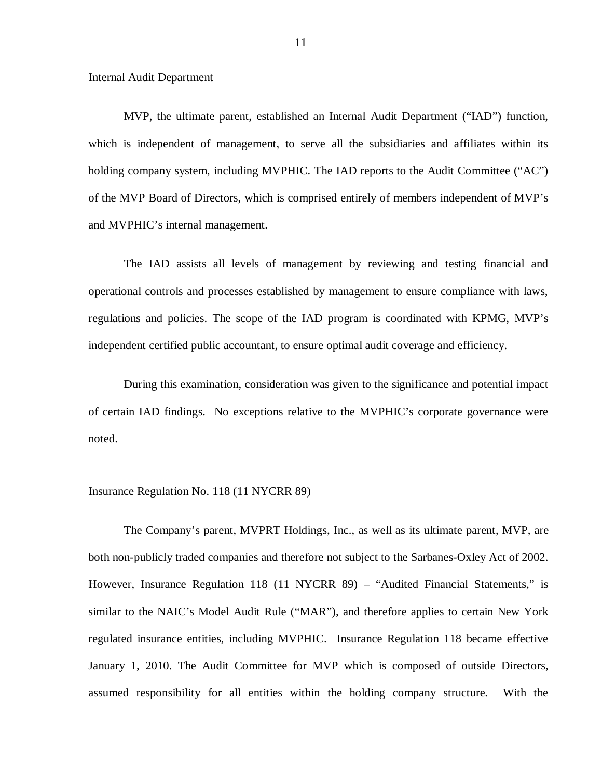#### Internal Audit Department

 MVP, the ultimate parent, established an Internal Audit Department ("IAD") function, which is independent of management, to serve all the subsidiaries and affiliates within its holding company system, including MVPHIC. The IAD reports to the Audit Committee ("AC") of the MVP Board of Directors, which is comprised entirely of members independent of MVP's and MVPHIC's internal management.

 The IAD assists all levels of management by reviewing and testing financial and operational controls and processes established by management to ensure compliance with laws, regulations and policies. The scope of the IAD program is coordinated with KPMG, MVP's independent certified public accountant, to ensure optimal audit coverage and efficiency.

 During this examination, consideration was given to the significance and potential impact of certain IAD findings. No exceptions relative to the MVPHIC's corporate governance were noted.

#### Insurance Regulation No. 118 (11 NYCRR 89)

 The Company's parent, MVPRT Holdings, Inc., as well as its ultimate parent, MVP, are both non-publicly traded companies and therefore not subject to the Sarbanes-Oxley Act of 2002. However, Insurance Regulation 118 (11 NYCRR 89) – "Audited Financial Statements," is similar to the NAIC's Model Audit Rule ("MAR"), and therefore applies to certain New York regulated insurance entities, including MVPHIC. Insurance Regulation 118 became effective January 1, 2010. The Audit Committee for MVP which is composed of outside Directors, assumed responsibility for all entities within the holding company structure. With the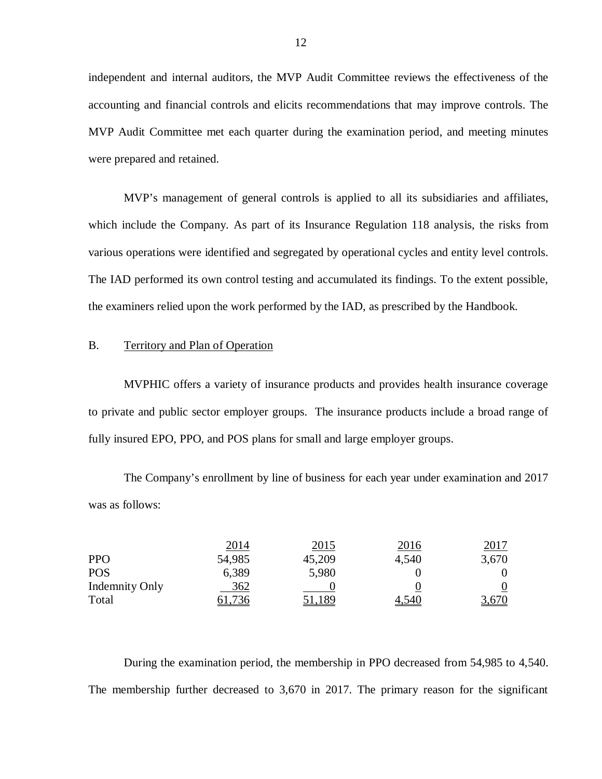independent and internal auditors, the MVP Audit Committee reviews the effectiveness of the accounting and financial controls and elicits recommendations that may improve controls. The MVP Audit Committee met each quarter during the examination period, and meeting minutes were prepared and retained.

 MVP's management of general controls is applied to all its subsidiaries and affiliates, which include the Company. As part of its Insurance Regulation 118 analysis, the risks from various operations were identified and segregated by operational cycles and entity level controls. The IAD performed its own control testing and accumulated its findings. To the extent possible, the examiners relied upon the work performed by the IAD, as prescribed by the Handbook.

#### B. Territory and Plan of Operation

 MVPHIC offers a variety of insurance products and provides health insurance coverage to private and public sector employer groups. The insurance products include a broad range of fully insured EPO, PPO, and POS plans for small and large employer groups.

 The Company's enrollment by line of business for each year under examination and 2017 was as follows:

|                       | <u> 2014 </u> | <u>2015</u> | 2016  | <u> 2017 </u> |
|-----------------------|---------------|-------------|-------|---------------|
| <b>PPO</b>            | 54,985        | 45,209      | 4,540 | 3,670         |
| <b>POS</b>            | 6,389         | 5,980       |       | 0             |
| <b>Indemnity Only</b> | 362           |             |       | <u>0</u>      |
| Total                 | 61,736        | 51,189      | 4,540 | 3,670         |

 During the examination period, the membership in PPO decreased from 54,985 to 4,540. The membership further decreased to 3,670 in 2017. The primary reason for the significant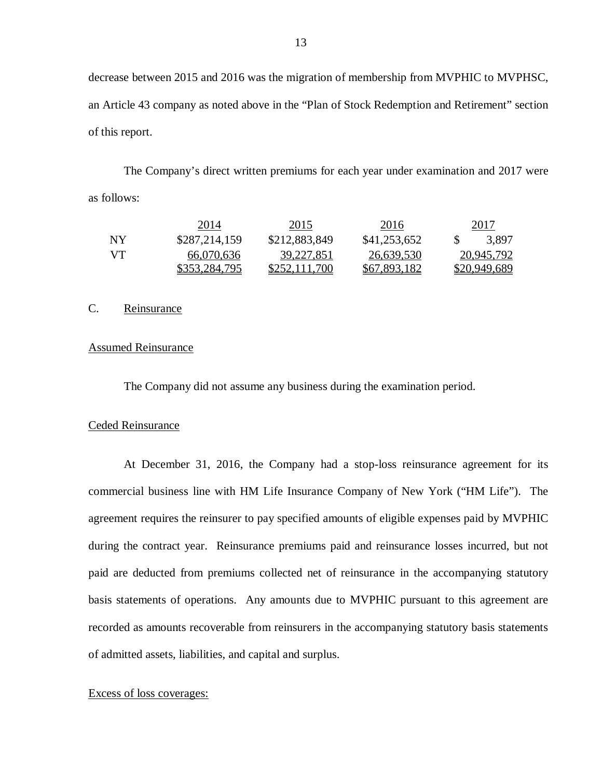decrease between 2015 and 2016 was the migration of membership from MVPHIC to MVPHSC, an Article 43 company as noted above in the "Plan of Stock Redemption and Retirement" section of this report.

 The Company's direct written premiums for each year under examination and 2017 were as follows:

|    | 2014          | 2015          | 2016         | 2017                |
|----|---------------|---------------|--------------|---------------------|
| NY | \$287,214,159 | \$212,883,849 | \$41,253,652 | 3.897               |
| VТ | 66,070,636    | 39,227,851    | 26,639,530   | 20,945,792          |
|    | \$353,284,795 | \$252,111,700 | \$67,893,182 | <u>\$20,949,689</u> |

#### C. Reinsurance

#### Assumed Reinsurance

The Company did not assume any business during the examination period.

#### Ceded Reinsurance

 At December 31, 2016, the Company had a stop-loss reinsurance agreement for its commercial business line with HM Life Insurance Company of New York ("HM Life"). The agreement requires the reinsurer to pay specified amounts of eligible expenses paid by MVPHIC during the contract year. Reinsurance premiums paid and reinsurance losses incurred, but not paid are deducted from premiums collected net of reinsurance in the accompanying statutory basis statements of operations. Any amounts due to MVPHIC pursuant to this agreement are recorded as amounts recoverable from reinsurers in the accompanying statutory basis statements of admitted assets, liabilities, and capital and surplus.

#### Excess of loss coverages: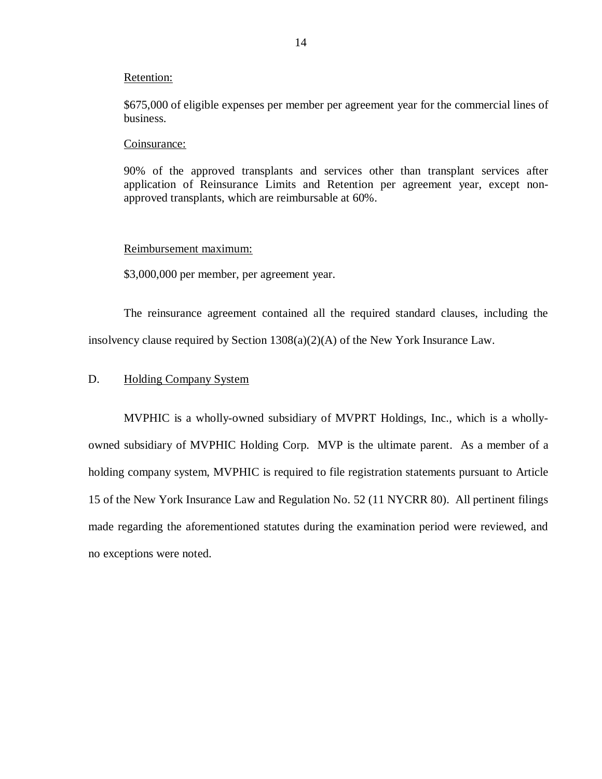#### <span id="page-15-0"></span>Retention:

 \$675,000 of eligible expenses per member per agreement year for the commercial lines of business.

#### Coinsurance:

 90% of the approved transplants and services other than transplant services after application of Reinsurance Limits and Retention per agreement year, except non-approved transplants, which are reimbursable at 60%.

#### Reimbursement maximum:

\$3,000,000 per member, per agreement year.

 The reinsurance agreement contained all the required standard clauses, including the insolvency clause required by Section 1308(a)(2)(A) of the New York Insurance Law.

#### D. Holding Company System

 MVPHIC is a wholly-owned subsidiary of MVPRT Holdings, Inc., which is a wholly- owned subsidiary of MVPHIC Holding Corp. MVP is the ultimate parent. As a member of a holding company system, MVPHIC is required to file registration statements pursuant to Article 15 of the New York Insurance Law and Regulation No. 52 (11 NYCRR 80). All pertinent filings made regarding the aforementioned statutes during the examination period were reviewed, and no exceptions were noted.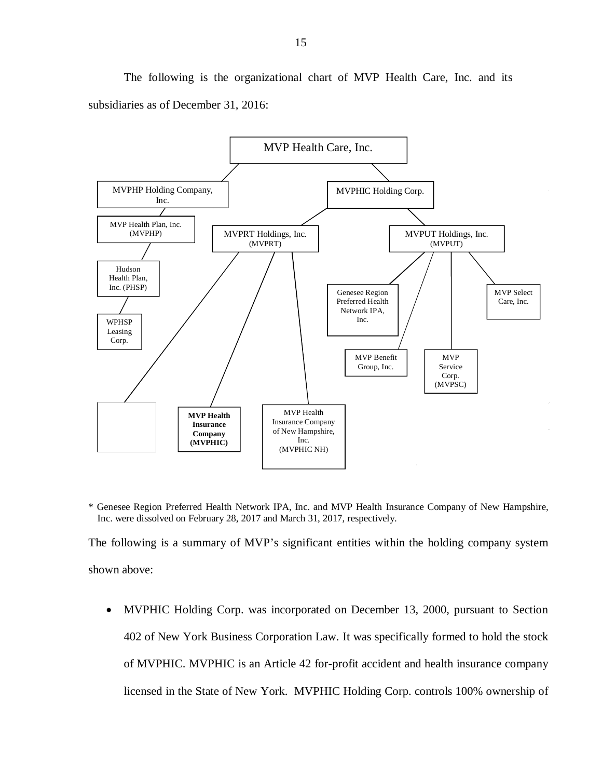The following is the organizational chart of MVP Health Care, Inc. and its subsidiaries as of December 31, 2016:



 \* Genesee Region Preferred Health Network IPA, Inc. and MVP Health Insurance Company of New Hampshire, Inc. were dissolved on February 28, 2017 and March 31, 2017, respectively.

 The following is a summary of MVP's significant entities within the holding company system shown above:

 MVPHIC Holding Corp. was incorporated on December 13, 2000, pursuant to Section 402 of New York Business Corporation Law. It was specifically formed to hold the stock of MVPHIC. MVPHIC is an Article 42 for-profit accident and health insurance company licensed in the State of New York. MVPHIC Holding Corp. controls 100% ownership of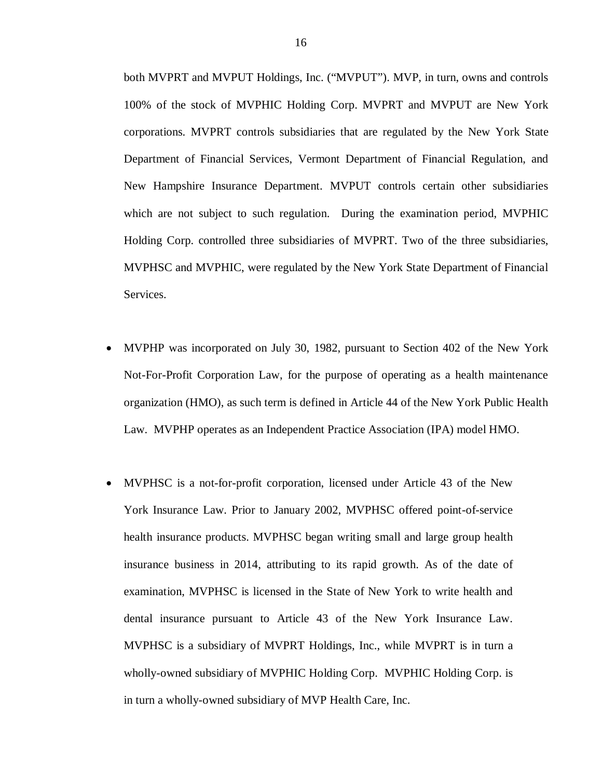both MVPRT and MVPUT Holdings, Inc. ("MVPUT"). MVP, in turn, owns and controls 100% of the stock of MVPHIC Holding Corp. MVPRT and MVPUT are New York corporations. MVPRT controls subsidiaries that are regulated by the New York State Department of Financial Services, Vermont Department of Financial Regulation, and New Hampshire Insurance Department. MVPUT controls certain other subsidiaries which are not subject to such regulation. During the examination period, MVPHIC Holding Corp. controlled three subsidiaries of MVPRT. Two of the three subsidiaries, MVPHSC and MVPHIC, were regulated by the New York State Department of Financial Services.

- MVPHP was incorporated on July 30, 1982, pursuant to Section 402 of the New York Not-For-Profit Corporation Law, for the purpose of operating as a health maintenance organization (HMO), as such term is defined in Article 44 of the New York Public Health Law. MVPHP operates as an Independent Practice Association (IPA) model HMO.
- MVPHSC is a not-for-profit corporation, licensed under Article 43 of the New York Insurance Law. Prior to January 2002, MVPHSC offered point-of-service health insurance products. MVPHSC began writing small and large group health insurance business in 2014, attributing to its rapid growth. As of the date of examination, MVPHSC is licensed in the State of New York to write health and dental insurance pursuant to Article 43 of the New York Insurance Law. MVPHSC is a subsidiary of MVPRT Holdings, Inc., while MVPRT is in turn a wholly-owned subsidiary of MVPHIC Holding Corp. MVPHIC Holding Corp. is in turn a wholly-owned subsidiary of MVP Health Care, Inc.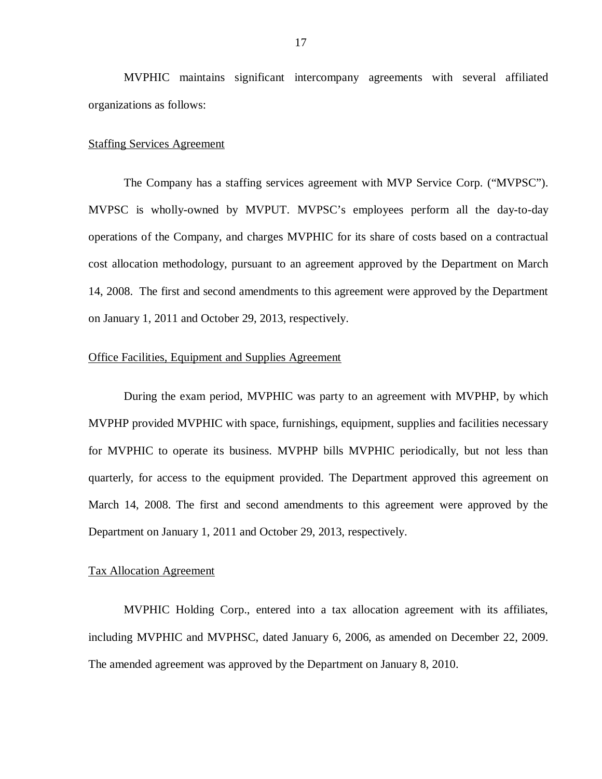MVPHIC maintains significant intercompany agreements with several affiliated organizations as follows:

#### **Staffing Services Agreement**

 The Company has a staffing services agreement with MVP Service Corp. ("MVPSC"). MVPSC is wholly-owned by MVPUT. MVPSC's employees perform all the day-to-day operations of the Company, and charges MVPHIC for its share of costs based on a contractual cost allocation methodology, pursuant to an agreement approved by the Department on March 14, 2008. The first and second amendments to this agreement were approved by the Department on January 1, 2011 and October 29, 2013, respectively.

#### **Office Facilities, Equipment and Supplies Agreement**

 During the exam period, MVPHIC was party to an agreement with MVPHP, by which MVPHP provided MVPHIC with space, furnishings, equipment, supplies and facilities necessary for MVPHIC to operate its business. MVPHP bills MVPHIC periodically, but not less than quarterly, for access to the equipment provided. The Department approved this agreement on March 14, 2008. The first and second amendments to this agreement were approved by the Department on January 1, 2011 and October 29, 2013, respectively.

#### Tax Allocation Agreement

 MVPHIC Holding Corp., entered into a tax allocation agreement with its affiliates, including MVPHIC and MVPHSC, dated January 6, 2006, as amended on December 22, 2009. The amended agreement was approved by the Department on January 8, 2010.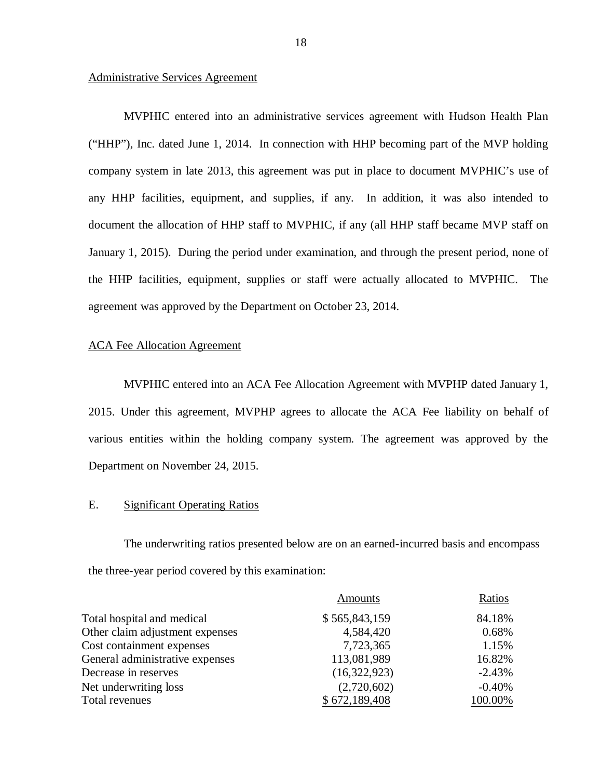#### Administrative Services Agreement

 MVPHIC entered into an administrative services agreement with Hudson Health Plan ("HHP"), Inc. dated June 1, 2014. In connection with HHP becoming part of the MVP holding company system in late 2013, this agreement was put in place to document MVPHIC's use of any HHP facilities, equipment, and supplies, if any. In addition, it was also intended to document the allocation of HHP staff to MVPHIC, if any (all HHP staff became MVP staff on January 1, 2015). During the period under examination, and through the present period, none of the HHP facilities, equipment, supplies or staff were actually allocated to MVPHIC. The agreement was approved by the Department on October 23, 2014.

#### ACA Fee Allocation Agreement

 MVPHIC entered into an ACA Fee Allocation Agreement with MVPHP dated January 1, 2015. Under this agreement, MVPHP agrees to allocate the ACA Fee liability on behalf of various entities within the holding company system. The agreement was approved by the Department on November 24, 2015.

#### E. Significant Operating Ratios

 The underwriting ratios presented below are on an earned-incurred basis and encompass the three-year period covered by this examination:

| Amounts       | Ratios   |
|---------------|----------|
| \$565,843,159 | 84.18%   |
| 4,584,420     | 0.68%    |
| 7,723,365     | 1.15%    |
| 113,081,989   | 16.82%   |
| (16,322,923)  | $-2.43%$ |
| (2,720,602)   | $-0.40%$ |
| \$672,189,408 | 100.00%  |
|               |          |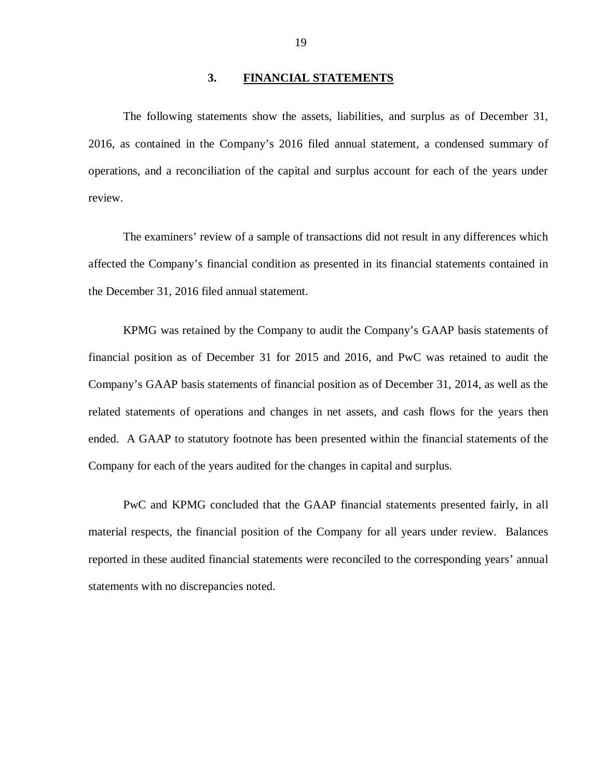#### **3. FINANCIAL STATEMENTS**

<span id="page-20-0"></span> The following statements show the assets, liabilities, and surplus as of December 31, 2016, as contained in the Company's 2016 filed annual statement, a condensed summary of operations, and a reconciliation of the capital and surplus account for each of the years under review. review. The examiners' review of a sample of transactions did not result in any differences which

 affected the Company's financial condition as presented in its financial statements contained in the December 31, 2016 filed annual statement.

 KPMG was retained by the Company to audit the Company's GAAP basis statements of financial position as of December 31 for 2015 and 2016, and PwC was retained to audit the Company's GAAP basis statements of financial position as of December 31, 2014, as well as the related statements of operations and changes in net assets, and cash flows for the years then ended. A GAAP to statutory footnote has been presented within the financial statements of the Company for each of the years audited for the changes in capital and surplus.

 PwC and KPMG concluded that the GAAP financial statements presented fairly, in all material respects, the financial position of the Company for all years under review. Balances reported in these audited financial statements were reconciled to the corresponding years' annual statements with no discrepancies noted.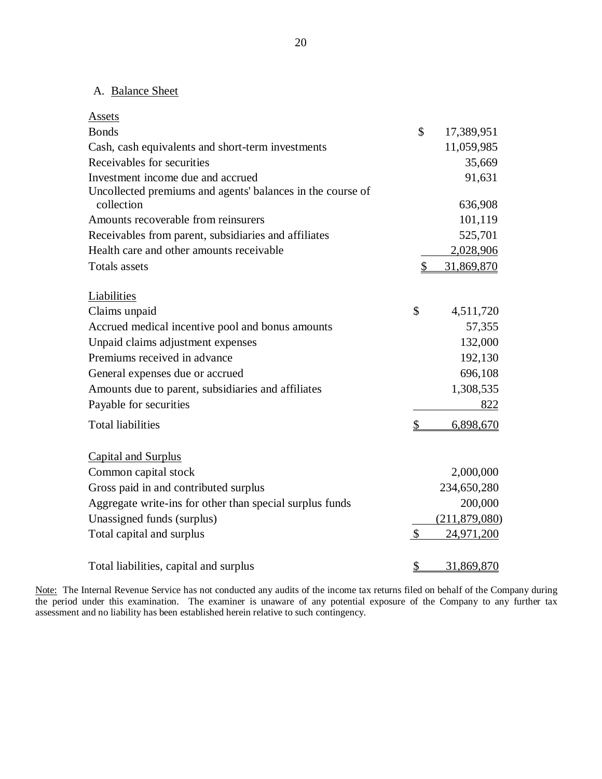#### A. Balance Sheet

| <b>Assets</b>                                              |               |               |
|------------------------------------------------------------|---------------|---------------|
| <b>Bonds</b>                                               | \$            | 17,389,951    |
| Cash, cash equivalents and short-term investments          |               | 11,059,985    |
| Receivables for securities                                 |               | 35,669        |
| Investment income due and accrued                          |               | 91,631        |
| Uncollected premiums and agents' balances in the course of |               |               |
| collection                                                 |               | 636,908       |
| Amounts recoverable from reinsurers                        |               | 101,119       |
| Receivables from parent, subsidiaries and affiliates       |               | 525,701       |
| Health care and other amounts receivable                   |               | 2,028,906     |
| <b>Totals</b> assets                                       | $\mathcal{S}$ | 31,869,870    |
|                                                            |               |               |
| Liabilities                                                |               |               |
| Claims unpaid                                              | \$            | 4,511,720     |
| Accrued medical incentive pool and bonus amounts           |               | 57,355        |
| Unpaid claims adjustment expenses                          |               | 132,000       |
| Premiums received in advance                               |               | 192,130       |
| General expenses due or accrued                            |               | 696,108       |
| Amounts due to parent, subsidiaries and affiliates         |               | 1,308,535     |
| Payable for securities                                     |               | 822           |
| <b>Total liabilities</b>                                   | \$            | 6,898,670     |
|                                                            |               |               |
| <b>Capital and Surplus</b>                                 |               |               |
| Common capital stock                                       |               | 2,000,000     |
| Gross paid in and contributed surplus                      |               | 234,650,280   |
| Aggregate write-ins for other than special surplus funds   |               | 200,000       |
| Unassigned funds (surplus)                                 |               | (211,879,080) |
| Total capital and surplus                                  | $\mathcal{S}$ | 24,971,200    |
|                                                            |               |               |
| Total liabilities, capital and surplus                     | $\frac{1}{2}$ | 31,869,870    |

Note: The Internal Revenue Service has not conducted any audits of the income tax returns filed on behalf of the Company during the period under this examination. The examiner is unaware of any potential exposure of the Company to any further tax assessment and no liability has been established herein relative to such contingency.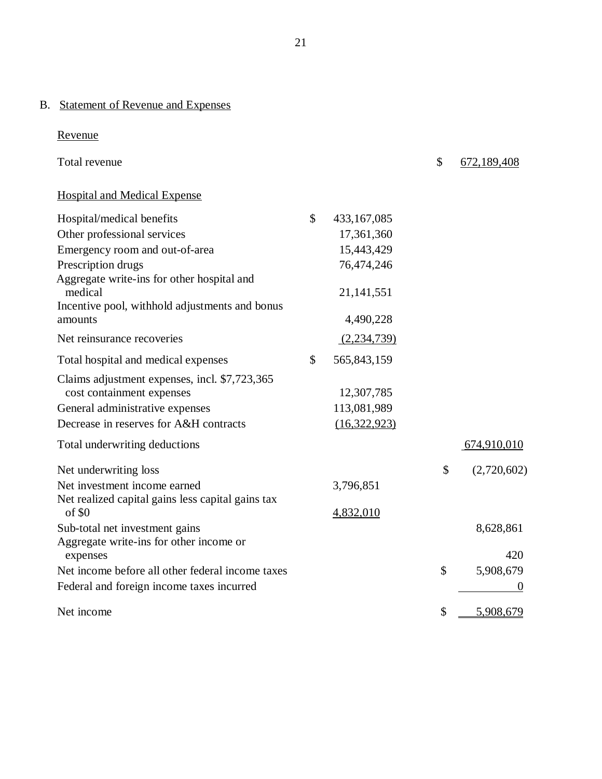#### B. Statement of Revenue and Expenses

## Revenue

| Total revenue                                                              |               |              | \$<br>672,189,408 |
|----------------------------------------------------------------------------|---------------|--------------|-------------------|
| <b>Hospital and Medical Expense</b>                                        |               |              |                   |
| Hospital/medical benefits                                                  | \$            | 433,167,085  |                   |
| Other professional services                                                |               | 17,361,360   |                   |
| Emergency room and out-of-area                                             |               | 15,443,429   |                   |
| Prescription drugs                                                         |               | 76,474,246   |                   |
| Aggregate write-ins for other hospital and<br>medical                      |               | 21, 141, 551 |                   |
| Incentive pool, withhold adjustments and bonus<br>amounts                  |               | 4,490,228    |                   |
| Net reinsurance recoveries                                                 |               | (2,234,739)  |                   |
| Total hospital and medical expenses                                        | $\mathcal{S}$ | 565,843,159  |                   |
| Claims adjustment expenses, incl. \$7,723,365<br>cost containment expenses |               | 12,307,785   |                   |
| General administrative expenses                                            |               | 113,081,989  |                   |
| Decrease in reserves for A&H contracts                                     |               | (16,322,923) |                   |
| Total underwriting deductions                                              |               |              | 674,910,010       |
| Net underwriting loss                                                      |               |              | \$<br>(2,720,602) |
| Net investment income earned                                               |               | 3,796,851    |                   |
| Net realized capital gains less capital gains tax<br>of \$0                |               | 4,832,010    |                   |
| Sub-total net investment gains<br>Aggregate write-ins for other income or  |               |              | 8,628,861         |
| expenses                                                                   |               |              | 420               |
| Net income before all other federal income taxes                           |               |              | \$<br>5,908,679   |
| Federal and foreign income taxes incurred                                  |               |              | $\theta$          |
| Net income                                                                 |               |              | \$<br>5,908,679   |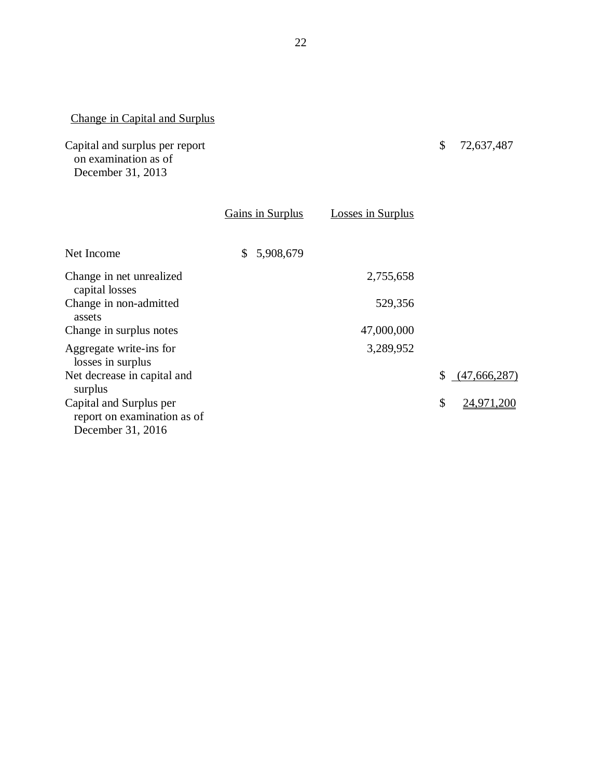#### Change in Capital and Surplus

 December 31, 2013 Capital and surplus per report on examination as of

| Gains in Surplus | <b>Losses in Surplus</b> |                    |
|------------------|--------------------------|--------------------|
| 5,908,679<br>\$  |                          |                    |
|                  | 2,755,658                |                    |
|                  | 529,356                  |                    |
|                  | 47,000,000               |                    |
|                  | 3,289,952                |                    |
|                  |                          | (47,666,287)<br>\$ |
|                  |                          | \$<br>24,971,200   |
|                  |                          |                    |

\$ 72,637,487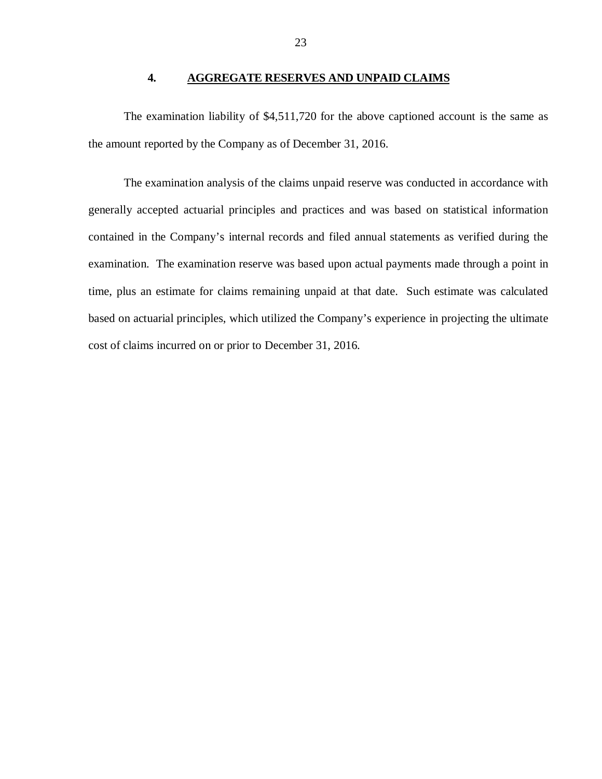#### **4. AGGREGATE RESERVES AND UNPAID CLAIMS**

<span id="page-24-0"></span> The examination liability of \$4,511,720 for the above captioned account is the same as the amount reported by the Company as of December 31, 2016.

 The examination analysis of the claims unpaid reserve was conducted in accordance with generally accepted actuarial principles and practices and was based on statistical information contained in the Company's internal records and filed annual statements as verified during the examination. The examination reserve was based upon actual payments made through a point in time, plus an estimate for claims remaining unpaid at that date. Such estimate was calculated based on actuarial principles, which utilized the Company's experience in projecting the ultimate cost of claims incurred on or prior to December 31, 2016.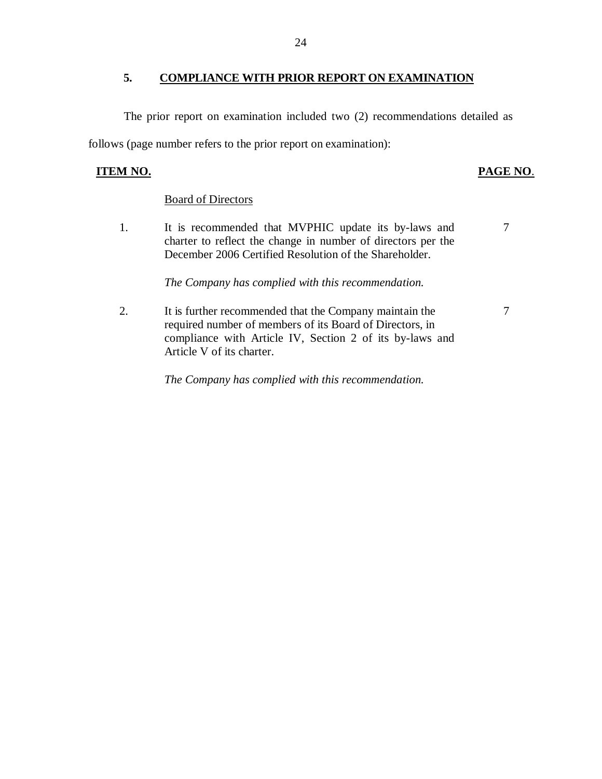#### <span id="page-25-0"></span> **COMPLIANCE WITH PRIOR REPORT ON EXAMINATION**

 The prior report on examination included two (2) recommendations detailed as follows (page number refers to the prior report on examination):

#### **ITEM NO. PAGE NO.**

#### **Board of Directors**

1. charter to reflect the change in number of directors per the December 2006 Certified Resolution of the Shareholder. It is recommended that MVPHIC update its by-laws and 7

#### *The Company has complied with this recommendation.*

 $2.$  required number of members of its Board of Directors, in compliance with Article IV, Section 2 of its by-laws and Article V of its charter. It is further recommended that the Company maintain the 7

 *The Company has complied with this recommendation.*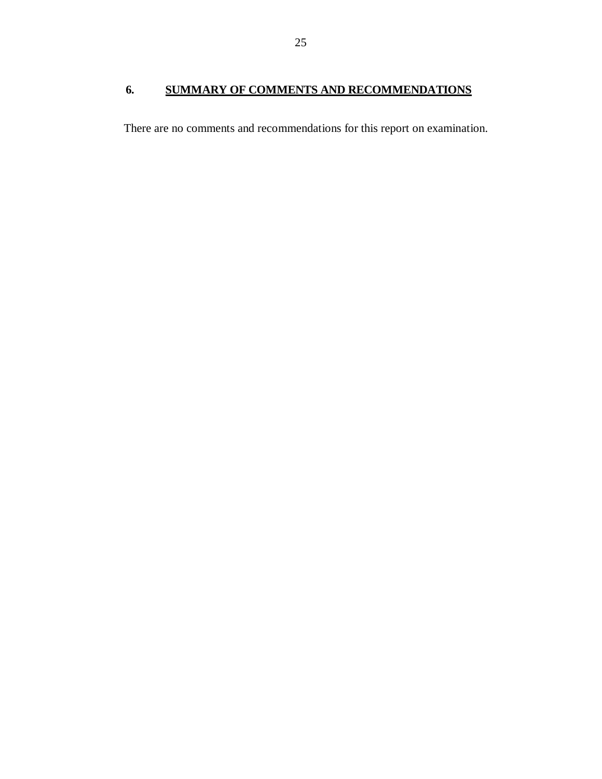#### <span id="page-26-0"></span> **6. SUMMARY OF COMMENTS AND RECOMMENDATIONS**

There are no comments and recommendations for this report on examination.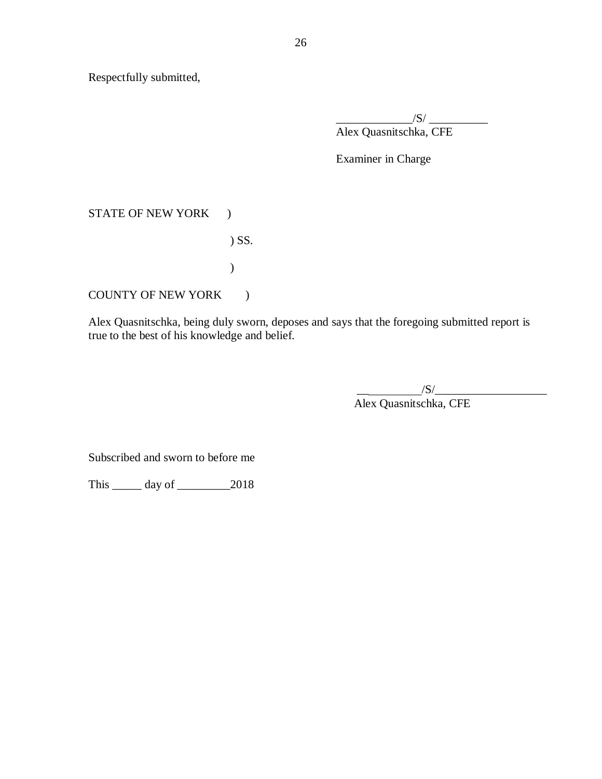Respectfully submitted,

 Alex Quasnitschka, CFE  $\frac{1}{\sqrt{S}}$ 

Examiner in Charge

#### STATE OF NEW YORK )

) SS.

)

COUNTY OF NEW YORK )

 Alex Quasnitschka, being duly sworn, deposes and says that the foregoing submitted report is true to the best of his knowledge and belief.

> $\sqrt{S}/\sqrt{S}$ Alex Quasnitschka, CFE

Subscribed and sworn to before me

This \_\_\_\_\_ day of \_\_\_\_\_\_\_\_\_2018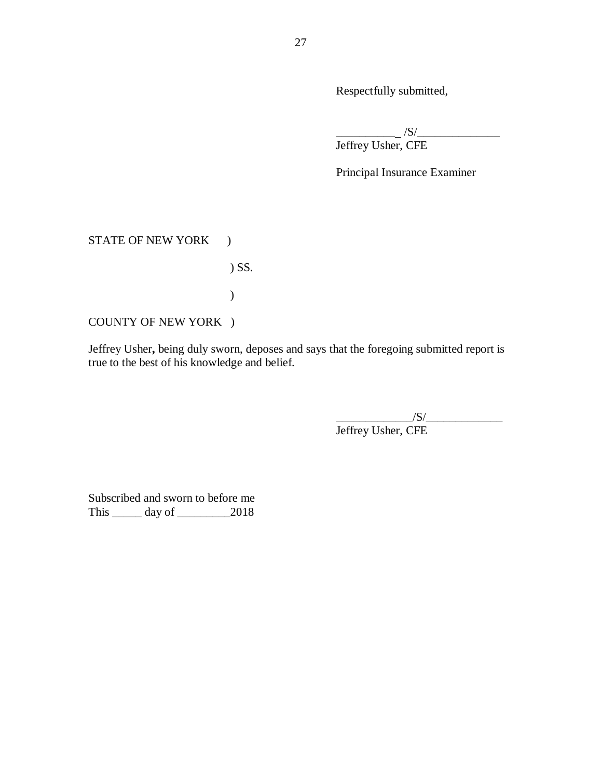Respectfully submitted,

 $\overline{a}$ \_\_\_\_\_\_\_\_\_\_ /S/\_\_\_\_\_\_\_\_\_\_\_\_\_\_ Jeffrey Usher, CFE

Principal Insurance Examiner

STATE OF NEW YORK )

) SS.

)

COUNTY OF NEW YORK )

 Jeffrey Usher**,** being duly sworn, deposes and says that the foregoing submitted report is true to the best of his knowledge and belief.

> Jeffrey Usher, CFE  $\frac{1}{S}$

 Subscribed and sworn to before me This \_\_\_\_\_ day of \_\_\_\_\_\_\_\_\_2018